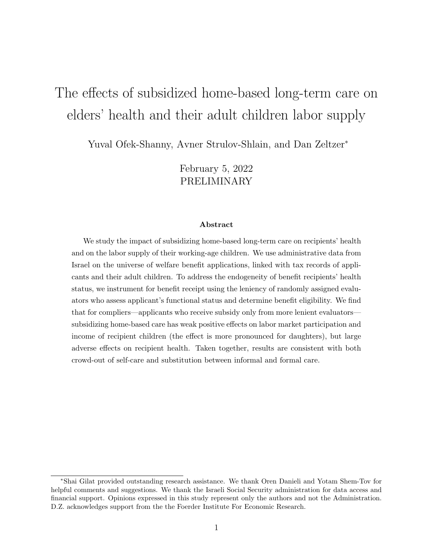# The effects of subsidized home-based long-term care on elders' health and their adult children labor supply

Yuval Ofek-Shanny, Avner Strulov-Shlain, and Dan Zeltzer<sup>∗</sup>

February 5, 2022 PRELIMINARY

#### Abstract

We study the impact of subsidizing home-based long-term care on recipients' health and on the labor supply of their working-age children. We use administrative data from Israel on the universe of welfare benefit applications, linked with tax records of applicants and their adult children. To address the endogeneity of benefit recipients' health status, we instrument for benefit receipt using the leniency of randomly assigned evaluators who assess applicant's functional status and determine benefit eligibility. We find that for compliers—applicants who receive subsidy only from more lenient evaluators subsidizing home-based care has weak positive effects on labor market participation and income of recipient children (the effect is more pronounced for daughters), but large adverse effects on recipient health. Taken together, results are consistent with both crowd-out of self-care and substitution between informal and formal care.

<sup>∗</sup>Shai Gilat provided outstanding research assistance. We thank Oren Danieli and Yotam Shem-Tov for helpful comments and suggestions. We thank the Israeli Social Security administration for data access and financial support. Opinions expressed in this study represent only the authors and not the Administration. D.Z. acknowledges support from the the Foerder Institute For Economic Research.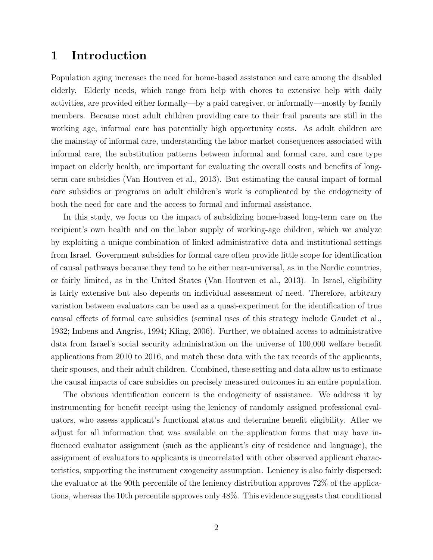# 1 Introduction

Population aging increases the need for home-based assistance and care among the disabled elderly. Elderly needs, which range from help with chores to extensive help with daily activities, are provided either formally—by a paid caregiver, or informally—mostly by family members. Because most adult children providing care to their frail parents are still in the working age, informal care has potentially high opportunity costs. As adult children are the mainstay of informal care, understanding the labor market consequences associated with informal care, the substitution patterns between informal and formal care, and care type impact on elderly health, are important for evaluating the overall costs and benefits of longterm care subsidies [\(Van Houtven et al., 2013\)](#page-15-0). But estimating the causal impact of formal care subsidies or programs on adult children's work is complicated by the endogeneity of both the need for care and the access to formal and informal assistance.

In this study, we focus on the impact of subsidizing home-based long-term care on the recipient's own health and on the labor supply of working-age children, which we analyze by exploiting a unique combination of linked administrative data and institutional settings from Israel. Government subsidies for formal care often provide little scope for identification of causal pathways because they tend to be either near-universal, as in the Nordic countries, or fairly limited, as in the United States [\(Van Houtven et al., 2013\)](#page-15-0). In Israel, eligibility is fairly extensive but also depends on individual assessment of need. Therefore, arbitrary variation between evaluators can be used as a quasi-experiment for the identification of true causal effects of formal care subsidies (seminal uses of this strategy include [Gaudet et al.,](#page-14-0) [1932;](#page-14-0) [Imbens and Angrist, 1994;](#page-14-1) [Kling, 2006\)](#page-15-1). Further, we obtained access to administrative data from Israel's social security administration on the universe of 100,000 welfare benefit applications from 2010 to 2016, and match these data with the tax records of the applicants, their spouses, and their adult children. Combined, these setting and data allow us to estimate the causal impacts of care subsidies on precisely measured outcomes in an entire population.

The obvious identification concern is the endogeneity of assistance. We address it by instrumenting for benefit receipt using the leniency of randomly assigned professional evaluators, who assess applicant's functional status and determine benefit eligibility. After we adjust for all information that was available on the application forms that may have influenced evaluator assignment (such as the applicant's city of residence and language), the assignment of evaluators to applicants is uncorrelated with other observed applicant characteristics, supporting the instrument exogeneity assumption. Leniency is also fairly dispersed: the evaluator at the 90th percentile of the leniency distribution approves 72% of the applications, whereas the 10th percentile approves only 48%. This evidence suggests that conditional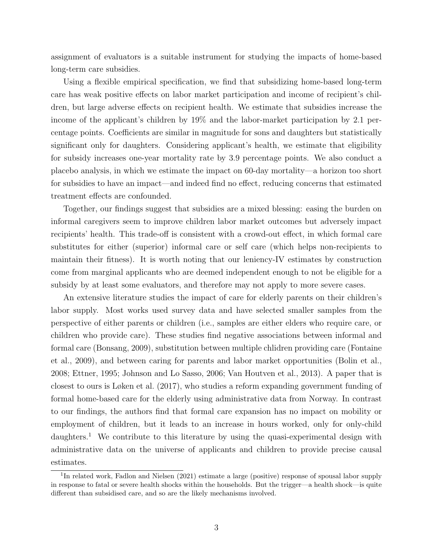assignment of evaluators is a suitable instrument for studying the impacts of home-based long-term care subsidies.

Using a flexible empirical specification, we find that subsidizing home-based long-term care has weak positive effects on labor market participation and income of recipient's children, but large adverse effects on recipient health. We estimate that subsidies increase the income of the applicant's children by 19% and the labor-market participation by 2.1 percentage points. Coefficients are similar in magnitude for sons and daughters but statistically significant only for daughters. Considering applicant's health, we estimate that eligibility for subsidy increases one-year mortality rate by 3.9 percentage points. We also conduct a placebo analysis, in which we estimate the impact on 60-day mortality—a horizon too short for subsidies to have an impact—and indeed find no effect, reducing concerns that estimated treatment effects are confounded.

Together, our findings suggest that subsidies are a mixed blessing: easing the burden on informal caregivers seem to improve children labor market outcomes but adversely impact recipients' health. This trade-off is consistent with a crowd-out effect, in which formal care substitutes for either (superior) informal care or self care (which helps non-recipients to maintain their fitness). It is worth noting that our leniency-IV estimates by construction come from marginal applicants who are deemed independent enough to not be eligible for a subsidy by at least some evaluators, and therefore may not apply to more severe cases.

An extensive literature studies the impact of care for elderly parents on their children's labor supply. Most works used survey data and have selected smaller samples from the perspective of either parents or children (i.e., samples are either elders who require care, or children who provide care). These studies find negative associations between informal and formal care [\(Bonsang, 2009\)](#page-14-2), substitution between multiple chlidren providing care [\(Fontaine](#page-14-3) [et al., 2009\)](#page-14-3), and between caring for parents and labor market opportunities [\(Bolin et al.,](#page-14-4) [2008;](#page-14-4) [Ettner, 1995;](#page-14-5) [Johnson and Lo Sasso, 2006;](#page-15-2) [Van Houtven et al., 2013\)](#page-15-0). A paper that is closest to ours is [Løken et al.](#page-15-3) [\(2017\)](#page-15-3), who studies a reform expanding government funding of formal home-based care for the elderly using administrative data from Norway. In contrast to our findings, the authors find that formal care expansion has no impact on mobility or employment of children, but it leads to an increase in hours worked, only for only-child daughters.<sup>[1](#page-2-0)</sup> We contribute to this literature by using the quasi-experimental design with administrative data on the universe of applicants and children to provide precise causal estimates.

<span id="page-2-0"></span><sup>&</sup>lt;sup>1</sup>In related work, [Fadlon and Nielsen](#page-14-6) [\(2021\)](#page-14-6) estimate a large (positive) response of spousal labor supply in response to fatal or severe health shocks within the households. But the trigger—a health shock—is quite different than subsidised care, and so are the likely mechanisms involved.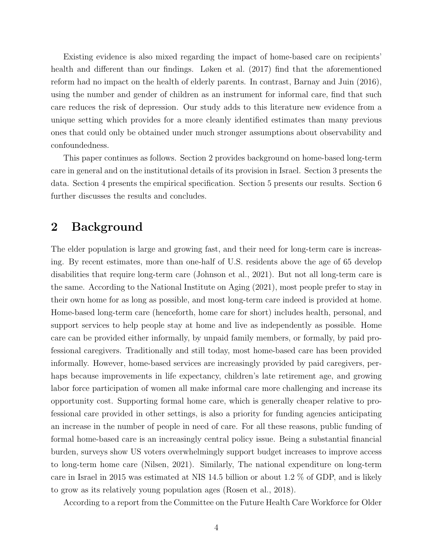Existing evidence is also mixed regarding the impact of home-based care on recipients' health and different than our findings. [Løken et al.](#page-15-3) [\(2017\)](#page-15-3) find that the aforementioned reform had no impact on the health of elderly parents. In contrast, [Barnay and Juin](#page-14-7) [\(2016\)](#page-14-7), using the number and gender of children as an instrument for informal care, find that such care reduces the risk of depression. Our study adds to this literature new evidence from a unique setting which provides for a more cleanly identified estimates than many previous ones that could only be obtained under much stronger assumptions about observability and confoundedness.

This paper continues as follows. Section [2](#page-3-0) provides background on home-based long-term care in general and on the institutional details of its provision in Israel. Section [3](#page-5-0) presents the data. Section [4](#page-8-0) presents the empirical specification. Section [5](#page-10-0) presents our results. Section [6](#page-12-0) further discusses the results and concludes.

# <span id="page-3-0"></span>2 Background

The elder population is large and growing fast, and their need for long-term care is increasing. By recent estimates, more than one-half of U.S. residents above the age of 65 develop disabilities that require long-term care [\(Johnson et al., 2021\)](#page-15-4). But not all long-term care is the same. According to the [National Institute on Aging](#page-15-5) [\(2021\)](#page-15-5), most people prefer to stay in their own home for as long as possible, and most long-term care indeed is provided at home. Home-based long-term care (henceforth, home care for short) includes health, personal, and support services to help people stay at home and live as independently as possible. Home care can be provided either informally, by unpaid family members, or formally, by paid professional caregivers. Traditionally and still today, most home-based care has been provided informally. However, home-based services are increasingly provided by paid caregivers, perhaps because improvements in life expectancy, children's late retirement age, and growing labor force participation of women all make informal care more challenging and increase its opportunity cost. Supporting formal home care, which is generally cheaper relative to professional care provided in other settings, is also a priority for funding agencies anticipating an increase in the number of people in need of care. For all these reasons, public funding of formal home-based care is an increasingly central policy issue. Being a substantial financial burden, surveys show US voters overwhelmingly support budget increases to improve access to long-term home care [\(Nilsen, 2021\)](#page-15-6). Similarly, The national expenditure on long-term care in Israel in 2015 was estimated at NIS 14.5 billion or about 1.2 % of GDP, and is likely to grow as its relatively young population ages [\(Rosen et al., 2018\)](#page-15-7).

According to a report from the Committee on the Future Health Care Workforce for Older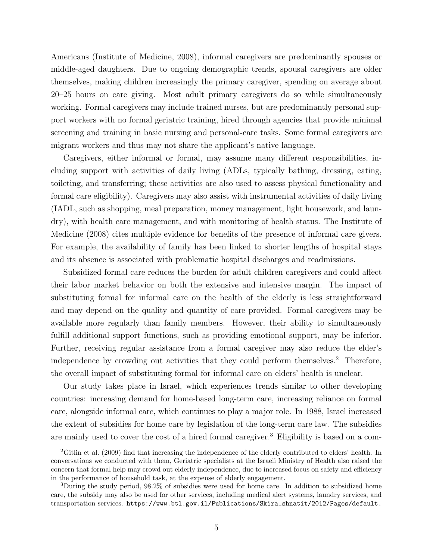Americans [\(Institute of Medicine, 2008\)](#page-14-8), informal caregivers are predominantly spouses or middle-aged daughters. Due to ongoing demographic trends, spousal caregivers are older themselves, making children increasingly the primary caregiver, spending on average about 20–25 hours on care giving. Most adult primary caregivers do so while simultaneously working. Formal caregivers may include trained nurses, but are predominantly personal support workers with no formal geriatric training, hired through agencies that provide minimal screening and training in basic nursing and personal-care tasks. Some formal caregivers are migrant workers and thus may not share the applicant's native language.

Caregivers, either informal or formal, may assume many different responsibilities, including support with activities of daily living (ADLs, typically bathing, dressing, eating, toileting, and transferring; these activities are also used to assess physical functionality and formal care eligibility). Caregivers may also assist with instrumental activities of daily living (IADL, such as shopping, meal preparation, money management, light housework, and laundry), with health care management, and with monitoring of health status. The [Institute of](#page-14-8) [Medicine](#page-14-8) [\(2008\)](#page-14-8) cites multiple evidence for benefits of the presence of informal care givers. For example, the availability of family has been linked to shorter lengths of hospital stays and its absence is associated with problematic hospital discharges and readmissions.

Subsidized formal care reduces the burden for adult children caregivers and could affect their labor market behavior on both the extensive and intensive margin. The impact of substituting formal for informal care on the health of the elderly is less straightforward and may depend on the quality and quantity of care provided. Formal caregivers may be available more regularly than family members. However, their ability to simultaneously fulfill additional support functions, such as providing emotional support, may be inferior. Further, receiving regular assistance from a formal caregiver may also reduce the elder's independence by crowding out activities that they could perform themselves.[2](#page-4-0) Therefore, the overall impact of substituting formal for informal care on elders' health is unclear.

Our study takes place in Israel, which experiences trends similar to other developing countries: increasing demand for home-based long-term care, increasing reliance on formal care, alongside informal care, which continues to play a major role. In 1988, Israel increased the extent of subsidies for home care by legislation of the long-term care law. The subsidies are mainly used to cover the cost of a hired formal caregiver.<sup>[3](#page-4-1)</sup> Eligibility is based on a com-

<span id="page-4-0"></span><sup>&</sup>lt;sup>2</sup>[Gitlin et al.](#page-14-9) [\(2009\)](#page-14-9) find that increasing the independence of the elderly contributed to elders' health. In conversations we conducted with them, Geriatric specialists at the Israeli Ministry of Health also raised the concern that formal help may crowd out elderly independence, due to increased focus on safety and efficiency in the performance of household task, at the expense of elderly engagement.

<span id="page-4-1"></span><sup>3</sup>During the study period, 98.2% of subsidies were used for home care. In addition to subsidized home care, the subsidy may also be used for other services, including medical alert systems, laundry services, and transportation services. [https://www.btl.gov.il/Publications/Skira\\_shnatit/2012/Pages/default.](https://www.btl.gov.il/Publications/Skira_shnatit/2012/Pages/default.aspx)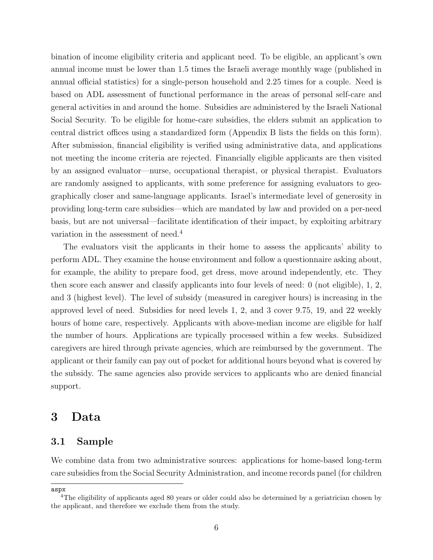[bination of income eligibility criteria and applicant need. To be eligible, an applicant's own](https://www.btl.gov.il/Publications/Skira_shnatit/2012/Pages/default.aspx) [annual income must be lower than 1.5 times the Israeli average monthly wage \(published in](https://www.btl.gov.il/Publications/Skira_shnatit/2012/Pages/default.aspx) [annual official statistics\) for a single-person household and 2.25 times for a couple. Need is](https://www.btl.gov.il/Publications/Skira_shnatit/2012/Pages/default.aspx) [based on ADL assessment of functional performance in the areas of personal self-care and](https://www.btl.gov.il/Publications/Skira_shnatit/2012/Pages/default.aspx) [general activities in and around the home. Subsidies are administered by the Israeli National](https://www.btl.gov.il/Publications/Skira_shnatit/2012/Pages/default.aspx) [Social Security. To be eligible for home-care subsidies, the elders submit an application to](https://www.btl.gov.il/Publications/Skira_shnatit/2012/Pages/default.aspx) [central district offices using a standardized form \(Appendix B lists the fields on this form\).](https://www.btl.gov.il/Publications/Skira_shnatit/2012/Pages/default.aspx) [After submission, financial eligibility is verified using administrative data, and applications](https://www.btl.gov.il/Publications/Skira_shnatit/2012/Pages/default.aspx) [not meeting the income criteria are rejected. Financially eligible applicants are then visited](https://www.btl.gov.il/Publications/Skira_shnatit/2012/Pages/default.aspx) [by an assigned evaluator—nurse, occupational therapist, or physical therapist. Evaluators](https://www.btl.gov.il/Publications/Skira_shnatit/2012/Pages/default.aspx) [are randomly assigned to applicants, with some preference for assigning evaluators to geo](https://www.btl.gov.il/Publications/Skira_shnatit/2012/Pages/default.aspx)[graphically closer and same-language applicants. Israel's intermediate level of generosity in](https://www.btl.gov.il/Publications/Skira_shnatit/2012/Pages/default.aspx) [providing long-term care subsidies—which are mandated by law and provided on a per-need](https://www.btl.gov.il/Publications/Skira_shnatit/2012/Pages/default.aspx) [basis, but are not universal—facilitate identification of their impact, by exploiting arbitrary](https://www.btl.gov.il/Publications/Skira_shnatit/2012/Pages/default.aspx) [variation in the assessment of need.](https://www.btl.gov.il/Publications/Skira_shnatit/2012/Pages/default.aspx)[4](#page-5-1)

[The evaluators visit the applicants in their home to assess the applicants' ability to](https://www.btl.gov.il/Publications/Skira_shnatit/2012/Pages/default.aspx) [perform ADL. They examine the house environment and follow a questionnaire asking about,](https://www.btl.gov.il/Publications/Skira_shnatit/2012/Pages/default.aspx) [for example, the ability to prepare food, get dress, move around independently, etc. They](https://www.btl.gov.il/Publications/Skira_shnatit/2012/Pages/default.aspx) [then score each answer and classify applicants into four levels of need: 0 \(not eligible\), 1, 2,](https://www.btl.gov.il/Publications/Skira_shnatit/2012/Pages/default.aspx) [and 3 \(highest level\). The level of subsidy \(measured in caregiver hours\) is increasing in the](https://www.btl.gov.il/Publications/Skira_shnatit/2012/Pages/default.aspx) [approved level of need. Subsidies for need levels 1, 2, and 3 cover 9.75, 19, and 22 weekly](https://www.btl.gov.il/Publications/Skira_shnatit/2012/Pages/default.aspx) [hours of home care, respectively. Applicants with above-median income are eligible for half](https://www.btl.gov.il/Publications/Skira_shnatit/2012/Pages/default.aspx) [the number of hours. Applications are typically processed within a few weeks. Subsidized](https://www.btl.gov.il/Publications/Skira_shnatit/2012/Pages/default.aspx) [caregivers are hired through private agencies, which are reimbursed by the government. The](https://www.btl.gov.il/Publications/Skira_shnatit/2012/Pages/default.aspx) [applicant or their family can pay out of pocket for additional hours beyond what is covered by](https://www.btl.gov.il/Publications/Skira_shnatit/2012/Pages/default.aspx) [the subsidy. The same agencies also provide services to applicants who are denied financial](https://www.btl.gov.il/Publications/Skira_shnatit/2012/Pages/default.aspx) [support.](https://www.btl.gov.il/Publications/Skira_shnatit/2012/Pages/default.aspx)

## <span id="page-5-0"></span>[3 Data](https://www.btl.gov.il/Publications/Skira_shnatit/2012/Pages/default.aspx)

#### [3.1 Sample](https://www.btl.gov.il/Publications/Skira_shnatit/2012/Pages/default.aspx)

[We combine data from two administrative sources: applications for home-based long-term](https://www.btl.gov.il/Publications/Skira_shnatit/2012/Pages/default.aspx) [care subsidies from the Social Security Administration, and income records panel \(for children](https://www.btl.gov.il/Publications/Skira_shnatit/2012/Pages/default.aspx)

[aspx](https://www.btl.gov.il/Publications/Skira_shnatit/2012/Pages/default.aspx)

<span id="page-5-1"></span><sup>&</sup>lt;sup>4</sup>The eligibility of applicants aged 80 years or older could also be determined by a geriatrician chosen by the applicant, and therefore we exclude them from the study.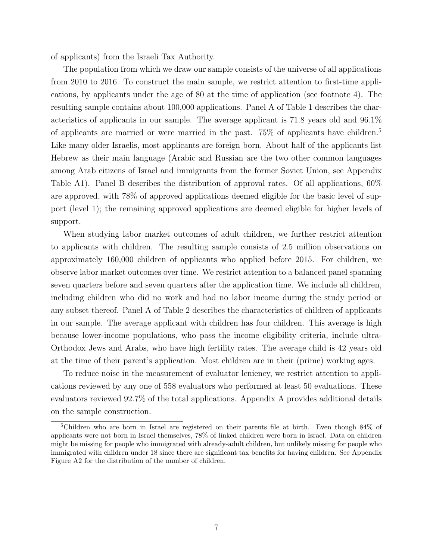of applicants) from the Israeli Tax Authority.

The population from which we draw our sample consists of the universe of all applications from 2010 to 2016. To construct the main sample, we restrict attention to first-time applications, by applicants under the age of 80 at the time of application (see footnote [4\)](#page-5-1). The resulting sample contains about 100,000 applications. Panel A of [Table 1](#page-16-0) describes the characteristics of applicants in our sample. The average applicant is 71.8 years old and 96.1% of applicants are married or were married in the past.  $75\%$  $75\%$  $75\%$  of applicants have children.<sup>5</sup> Like many older Israelis, most applicants are foreign born. About half of the applicants list Hebrew as their main language (Arabic and Russian are the two other common languages among Arab citizens of Israel and immigrants from the former Soviet Union, see [Appendix](#page-24-0) [Table A1\)](#page-24-0). Panel B describes the distribution of approval rates. Of all applications, 60% are approved, with 78% of approved applications deemed eligible for the basic level of support (level 1); the remaining approved applications are deemed eligible for higher levels of support.

When studying labor market outcomes of adult children, we further restrict attention to applicants with children. The resulting sample consists of 2.5 million observations on approximately 160,000 children of applicants who applied before 2015. For children, we observe labor market outcomes over time. We restrict attention to a balanced panel spanning seven quarters before and seven quarters after the application time. We include all children, including children who did no work and had no labor income during the study period or any subset thereof. Panel A of [Table 2](#page-17-0) describes the characteristics of children of applicants in our sample. The average applicant with children has four children. This average is high because lower-income populations, who pass the income eligibility criteria, include ultra-Orthodox Jews and Arabs, who have high fertility rates. The average child is 42 years old at the time of their parent's application. Most children are in their (prime) working ages.

To reduce noise in the measurement of evaluator leniency, we restrict attention to applications reviewed by any one of 558 evaluators who performed at least 50 evaluations. These evaluators reviewed 92.7% of the total applications. Appendix [A](#page-22-0) provides additional details on the sample construction.

<span id="page-6-0"></span><sup>5</sup>Children who are born in Israel are registered on their parents file at birth. Even though 84% of applicants were not born in Israel themselves, 78% of linked children were born in Israel. Data on children might be missing for people who immigrated with already-adult children, but unlikely missing for people who immigrated with children under 18 since there are significant tax benefits for having children. See [Appendix](#page-27-0) [Figure A2](#page-27-0) for the distribution of the number of children.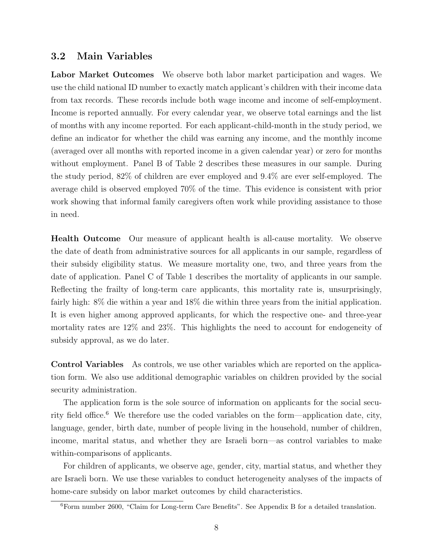#### 3.2 Main Variables

Labor Market Outcomes We observe both labor market participation and wages. We use the child national ID number to exactly match applicant's children with their income data from tax records. These records include both wage income and income of self-employment. Income is reported annually. For every calendar year, we observe total earnings and the list of months with any income reported. For each applicant-child-month in the study period, we define an indicator for whether the child was earning any income, and the monthly income (averaged over all months with reported income in a given calendar year) or zero for months without employment. Panel B of [Table 2](#page-17-0) describes these measures in our sample. During the study period, 82% of children are ever employed and 9.4% are ever self-employed. The average child is observed employed 70% of the time. This evidence is consistent with prior work showing that informal family caregivers often work while providing assistance to those in need.

Health Outcome Our measure of applicant health is all-cause mortality. We observe the date of death from administrative sources for all applicants in our sample, regardless of their subsidy eligibility status. We measure mortality one, two, and three years from the date of application. Panel C of [Table 1](#page-16-0) describes the mortality of applicants in our sample. Reflecting the frailty of long-term care applicants, this mortality rate is, unsurprisingly, fairly high: 8% die within a year and 18% die within three years from the initial application. It is even higher among approved applicants, for which the respective one- and three-year mortality rates are 12% and 23%. This highlights the need to account for endogeneity of subsidy approval, as we do later.

Control Variables As controls, we use other variables which are reported on the application form. We also use additional demographic variables on children provided by the social security administration.

The application form is the sole source of information on applicants for the social secu-rity field office.<sup>[6](#page-7-0)</sup> We therefore use the coded variables on the form—application date, city, language, gender, birth date, number of people living in the household, number of children, income, marital status, and whether they are Israeli born—as control variables to make within-comparisons of applicants.

For children of applicants, we observe age, gender, city, martial status, and whether they are Israeli born. We use these variables to conduct heterogeneity analyses of the impacts of home-care subsidy on labor market outcomes by child characteristics.

<span id="page-7-0"></span><sup>6</sup>Form number 2600, "Claim for Long-term Care Benefits". See Appendix [B](#page-22-1) for a detailed translation.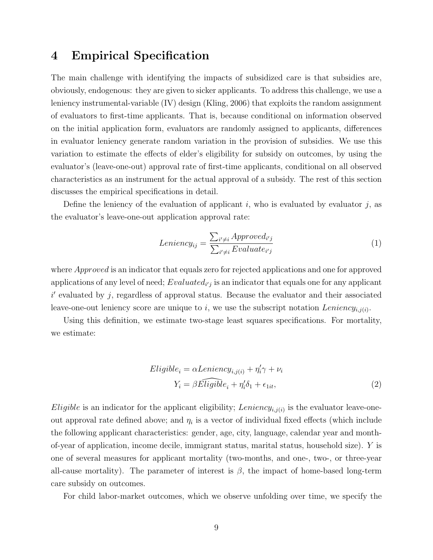# <span id="page-8-0"></span>4 Empirical Specification

The main challenge with identifying the impacts of subsidized care is that subsidies are, obviously, endogenous: they are given to sicker applicants. To address this challenge, we use a leniency instrumental-variable (IV) design [\(Kling, 2006\)](#page-15-1) that exploits the random assignment of evaluators to first-time applicants. That is, because conditional on information observed on the initial application form, evaluators are randomly assigned to applicants, differences in evaluator leniency generate random variation in the provision of subsidies. We use this variation to estimate the effects of elder's eligibility for subsidy on outcomes, by using the evaluator's (leave-one-out) approval rate of first-time applicants, conditional on all observed characteristics as an instrument for the actual approval of a subsidy. The rest of this section discusses the empirical specifications in detail.

Define the leniency of the evaluation of applicant  $i$ , who is evaluated by evaluator  $j$ , as the evaluator's leave-one-out application approval rate:

<span id="page-8-2"></span>
$$
Leniency_{ij} = \frac{\sum_{i' \neq i} Approved_{i'j}}{\sum_{i' \neq i} Evaluate_{i'j}} \tag{1}
$$

where *Approved* is an indicator that equals zero for rejected applications and one for approved applications of any level of need;  $Evaluate d_{i'j}$  is an indicator that equals one for any applicant  $i'$  evaluated by j, regardless of approval status. Because the evaluator and their associated leave-one-out leniency score are unique to i, we use the subscript notation  $Leniency_{i,j(i)}$ .

Using this definition, we estimate two-stage least squares specifications. For mortality, we estimate:

<span id="page-8-1"></span>
$$
Eligible_i = \alpha Leningity_i + \eta'_i \gamma + \nu_i
$$
  

$$
Y_i = \beta \widehat{Eligible}_i + \eta'_i \delta_1 + \epsilon_{1it},
$$
 (2)

*Eligible* is an indicator for the applicant eligibility; Leniency<sub>i,j(i)</sub> is the evaluator leave-oneout approval rate defined above; and  $\eta_i$  is a vector of individual fixed effects (which include the following applicant characteristics: gender, age, city, language, calendar year and monthof-year of application, income decile, immigrant status, marital status, household size). Y is one of several measures for applicant mortality (two-months, and one-, two-, or three-year all-cause mortality). The parameter of interest is  $\beta$ , the impact of home-based long-term care subsidy on outcomes.

For child labor-market outcomes, which we observe unfolding over time, we specify the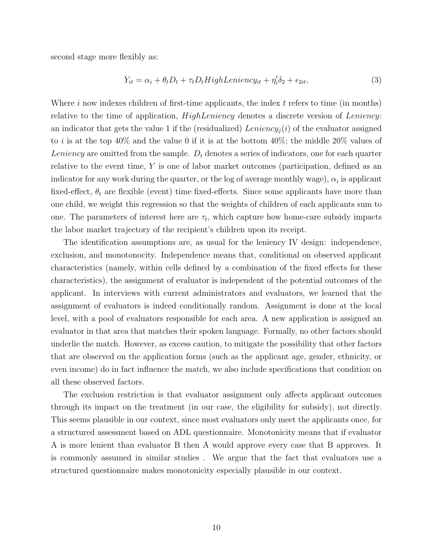second stage more flexibly as:

<span id="page-9-0"></span>
$$
Y_{it} = \alpha_i + \theta_t D_t + \tau_t D_t High Lening_{tt} + \eta'_i \delta_2 + \epsilon_{2it}, \tag{3}
$$

Where  $i$  now indexes children of first-time applicants, the index  $t$  refers to time (in months) relative to the time of application,  $HighLeniency$  denotes a discrete version of Leniency: an indicator that gets the value 1 if the (residualized) Leniency<sub>i</sub>(i) of the evaluator assigned to i is at the top 40% and the value 0 if it is at the bottom 40%; the middle 20% values of Leniency are omitted from the sample.  $D_t$  denotes a series of indicators, one for each quarter relative to the event time, Y is one of labor market outcomes (participation, defined as an indicator for any work during the quarter, or the log of average monthly wage),  $\alpha_i$  is applicant fixed-effect,  $\theta_t$  are flexible (event) time fixed-effects. Since some applicants have more than one child, we weight this regression so that the weights of children of each applicants sum to one. The parameters of interest here are  $\tau_t$ , which capture how home-care subsidy impacts the labor market trajectory of the recipient's children upon its receipt.

The identification assumptions are, as usual for the leniency IV design: independence, exclusion, and monotonocity. Independence means that, conditional on observed applicant characteristics (namely, within cells defined by a combination of the fixed effects for these characteristics), the assignment of evaluator is independent of the potential outcomes of the applicant. In interviews with current administrators and evaluators, we learned that the assignment of evaluators is indeed conditionally random. Assignment is done at the local level, with a pool of evaluators responsible for each area. A new application is assigned an evaluator in that area that matches their spoken language. Formally, no other factors should underlie the match. However, as excess caution, to mitigate the possibility that other factors that are observed on the application forms (such as the applicant age, gender, ethnicity, or even income) do in fact influence the match, we also include specifications that condition on all these observed factors.

The exclusion restriction is that evaluator assignment only affects applicant outcomes through its impact on the treatment (in our case, the eligibility for subsidy), not directly. This seems plausible in our context, since most evaluators only meet the applicants once, for a structured assessment based on ADL questionnaire. Monotonicity means that if evaluator A is more lenient than evaluator B then A would approve every case that B approves. It is commonly assumed in similar studies . We argue that the fact that evaluators use a structured questionnaire makes monotonicity especially plausible in our context.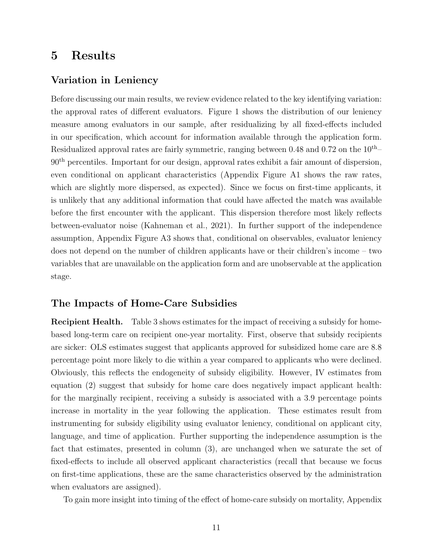# <span id="page-10-0"></span>5 Results

#### Variation in Leniency

Before discussing our main results, we review evidence related to the key identifying variation: the approval rates of different evaluators. [Figure 1](#page-19-0) shows the distribution of our leniency measure among evaluators in our sample, after residualizing by all fixed-effects included in our specification, which account for information available through the application form. Residualized approval rates are fairly symmetric, ranging between 0.48 and 0.72 on the  $10^{th}$ –  $90<sup>th</sup>$  percentiles. Important for our design, approval rates exhibit a fair amount of dispersion, even conditional on applicant characteristics [\(Appendix Figure A1](#page-26-0) shows the raw rates, which are slightly more dispersed, as expected). Since we focus on first-time applicants, it is unlikely that any additional information that could have affected the match was available before the first encounter with the applicant. This dispersion therefore most likely reflects between-evaluator noise [\(Kahneman et al., 2021\)](#page-15-8). In further support of the independence assumption, [Appendix Figure A3](#page-28-0) shows that, conditional on observables, evaluator leniency does not depend on the number of children applicants have or their children's income – two variables that are unavailable on the application form and are unobservable at the application stage.

#### The Impacts of Home-Care Subsidies

Recipient Health. [Table 3](#page-18-0) shows estimates for the impact of receiving a subsidy for homebased long-term care on recipient one-year mortality. First, observe that subsidy recipients are sicker: OLS estimates suggest that applicants approved for subsidized home care are 8.8 percentage point more likely to die within a year compared to applicants who were declined. Obviously, this reflects the endogeneity of subsidy eligibility. However, IV estimates from equation [\(2\)](#page-8-1) suggest that subsidy for home care does negatively impact applicant health: for the marginally recipient, receiving a subsidy is associated with a 3.9 percentage points increase in mortality in the year following the application. These estimates result from instrumenting for subsidy eligibility using evaluator leniency, conditional on applicant city, language, and time of application. Further supporting the independence assumption is the fact that estimates, presented in column (3), are unchanged when we saturate the set of fixed-effects to include all observed applicant characteristics (recall that because we focus on first-time applications, these are the same characteristics observed by the administration when evaluators are assigned).

To gain more insight into timing of the effect of home-care subsidy on mortality, [Appendix](#page-25-0)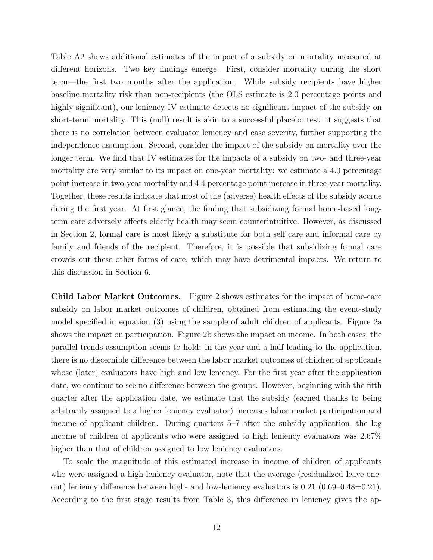[Table A2](#page-25-0) shows additional estimates of the impact of a subsidy on mortality measured at different horizons. Two key findings emerge. First, consider mortality during the short term—the first two months after the application. While subsidy recipients have higher baseline mortality risk than non-recipients (the OLS estimate is 2.0 percentage points and highly significant), our leniency-IV estimate detects no significant impact of the subsidy on short-term mortality. This (null) result is akin to a successful placebo test: it suggests that there is no correlation between evaluator leniency and case severity, further supporting the independence assumption. Second, consider the impact of the subsidy on mortality over the longer term. We find that IV estimates for the impacts of a subsidy on two- and three-year mortality are very similar to its impact on one-year mortality: we estimate a 4.0 percentage point increase in two-year mortality and 4.4 percentage point increase in three-year mortality. Together, these results indicate that most of the (adverse) health effects of the subsidy accrue during the first year. At first glance, the finding that subsidizing formal home-based longterm care adversely affects elderly health may seem counterintuitive. However, as discussed in Section [2,](#page-3-0) formal care is most likely a substitute for both self care and informal care by family and friends of the recipient. Therefore, it is possible that subsidizing formal care crowds out these other forms of care, which may have detrimental impacts. We return to this discussion in Section [6.](#page-12-0)

Child Labor Market Outcomes. Figure 2 shows estimates for the impact of home-care subsidy on labor market outcomes of children, obtained from estimating the event-study model specified in equation [\(3\)](#page-9-0) using the sample of adult children of applicants. [Figure 2a](#page-20-0) shows the impact on participation. [Figure 2b](#page-20-0) shows the impact on income. In both cases, the parallel trends assumption seems to hold: in the year and a half leading to the application, there is no discernible difference between the labor market outcomes of children of applicants whose (later) evaluators have high and low leniency. For the first year after the application date, we continue to see no difference between the groups. However, beginning with the fifth quarter after the application date, we estimate that the subsidy (earned thanks to being arbitrarily assigned to a higher leniency evaluator) increases labor market participation and income of applicant children. During quarters 5–7 after the subsidy application, the log income of children of applicants who were assigned to high leniency evaluators was 2.67% higher than that of children assigned to low leniency evaluators.

To scale the magnitude of this estimated increase in income of children of applicants who were assigned a high-leniency evaluator, note that the average (residualized leave-oneout) leniency difference between high- and low-leniency evaluators is 0.21 (0.69–0.48=0.21). According to the first stage results from [Table 3,](#page-18-0) this difference in leniency gives the ap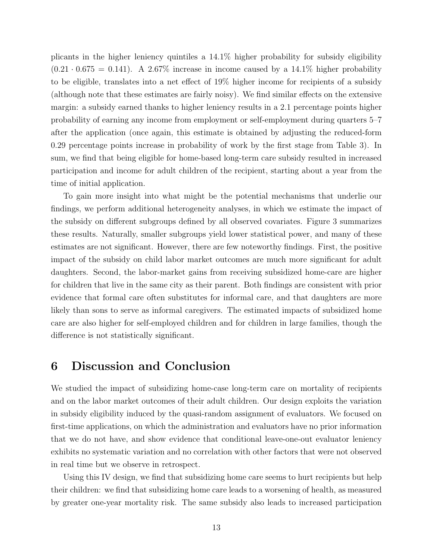plicants in the higher leniency quintiles a 14.1% higher probability for subsidy eligibility  $(0.21 \cdot 0.675 = 0.141)$ . A 2.67% increase in income caused by a 14.1% higher probability to be eligible, translates into a net effect of 19% higher income for recipients of a subsidy (although note that these estimates are fairly noisy). We find similar effects on the extensive margin: a subsidy earned thanks to higher leniency results in a 2.1 percentage points higher probability of earning any income from employment or self-employment during quarters 5–7 after the application (once again, this estimate is obtained by adjusting the reduced-form 0.29 percentage points increase in probability of work by the first stage from [Table 3\)](#page-18-0). In sum, we find that being eligible for home-based long-term care subsidy resulted in increased participation and income for adult children of the recipient, starting about a year from the time of initial application.

To gain more insight into what might be the potential mechanisms that underlie our findings, we perform additional heterogeneity analyses, in which we estimate the impact of the subsidy on different subgroups defined by all observed covariates. [Figure 3](#page-21-0) summarizes these results. Naturally, smaller subgroups yield lower statistical power, and many of these estimates are not significant. However, there are few noteworthy findings. First, the positive impact of the subsidy on child labor market outcomes are much more significant for adult daughters. Second, the labor-market gains from receiving subsidized home-care are higher for children that live in the same city as their parent. Both findings are consistent with prior evidence that formal care often substitutes for informal care, and that daughters are more likely than sons to serve as informal caregivers. The estimated impacts of subsidized home care are also higher for self-employed children and for children in large families, though the difference is not statistically significant.

# <span id="page-12-0"></span>6 Discussion and Conclusion

We studied the impact of subsidizing home-case long-term care on mortality of recipients and on the labor market outcomes of their adult children. Our design exploits the variation in subsidy eligibility induced by the quasi-random assignment of evaluators. We focused on first-time applications, on which the administration and evaluators have no prior information that we do not have, and show evidence that conditional leave-one-out evaluator leniency exhibits no systematic variation and no correlation with other factors that were not observed in real time but we observe in retrospect.

Using this IV design, we find that subsidizing home care seems to hurt recipients but help their children: we find that subsidizing home care leads to a worsening of health, as measured by greater one-year mortality risk. The same subsidy also leads to increased participation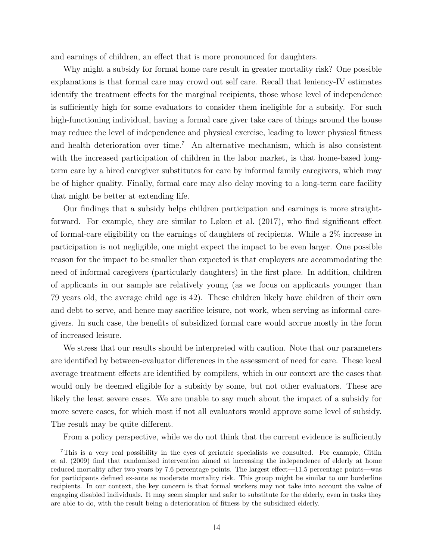and earnings of children, an effect that is more pronounced for daughters.

Why might a subsidy for formal home care result in greater mortality risk? One possible explanations is that formal care may crowd out self care. Recall that leniency-IV estimates identify the treatment effects for the marginal recipients, those whose level of independence is sufficiently high for some evaluators to consider them ineligible for a subsidy. For such high-functioning individual, having a formal care giver take care of things around the house may reduce the level of independence and physical exercise, leading to lower physical fitness and health deterioration over time.<sup>[7](#page-13-0)</sup> An alternative mechanism, which is also consistent with the increased participation of children in the labor market, is that home-based longterm care by a hired caregiver substitutes for care by informal family caregivers, which may be of higher quality. Finally, formal care may also delay moving to a long-term care facility that might be better at extending life.

Our findings that a subsidy helps children participation and earnings is more straightforward. For example, they are similar to [Løken et al.](#page-15-3) [\(2017\)](#page-15-3), who find significant effect of formal-care eligibility on the earnings of daughters of recipients. While a 2% increase in participation is not negligible, one might expect the impact to be even larger. One possible reason for the impact to be smaller than expected is that employers are accommodating the need of informal caregivers (particularly daughters) in the first place. In addition, children of applicants in our sample are relatively young (as we focus on applicants younger than 79 years old, the average child age is 42). These children likely have children of their own and debt to serve, and hence may sacrifice leisure, not work, when serving as informal caregivers. In such case, the benefits of subsidized formal care would accrue mostly in the form of increased leisure.

We stress that our results should be interpreted with caution. Note that our parameters are identified by between-evaluator differences in the assessment of need for care. These local average treatment effects are identified by compilers, which in our context are the cases that would only be deemed eligible for a subsidy by some, but not other evaluators. These are likely the least severe cases. We are unable to say much about the impact of a subsidy for more severe cases, for which most if not all evaluators would approve some level of subsidy. The result may be quite different.

<span id="page-13-0"></span>From a policy perspective, while we do not think that the current evidence is sufficiently

<sup>7</sup>This is a very real possibility in the eyes of geriatric specialists we consulted. For example, [Gitlin](#page-14-9) [et al.](#page-14-9) [\(2009\)](#page-14-9) find that randomized intervention aimed at increasing the independence of elderly at home reduced mortality after two years by 7.6 percentage points. The largest effect—11.5 percentage points—was for participants defined ex-ante as moderate mortality risk. This group might be similar to our borderline recipients. In our context, the key concern is that formal workers may not take into account the value of engaging disabled individuals. It may seem simpler and safer to substitute for the elderly, even in tasks they are able to do, with the result being a deterioration of fitness by the subsidized elderly.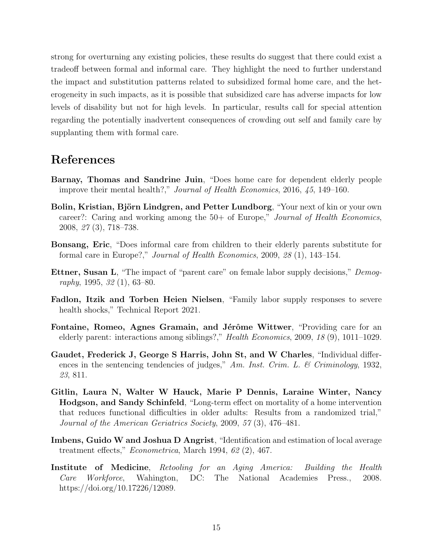strong for overturning any existing policies, these results do suggest that there could exist a tradeoff between formal and informal care. They highlight the need to further understand the impact and substitution patterns related to subsidized formal home care, and the heterogeneity in such impacts, as it is possible that subsidized care has adverse impacts for low levels of disability but not for high levels. In particular, results call for special attention regarding the potentially inadvertent consequences of crowding out self and family care by supplanting them with formal care.

# References

- <span id="page-14-7"></span>Barnay, Thomas and Sandrine Juin, "Does home care for dependent elderly people improve their mental health?," Journal of Health Economics, 2016, 45, 149–160.
- <span id="page-14-4"></span>Bolin, Kristian, Björn Lindgren, and Petter Lundborg, "Your next of kin or your own career?: Caring and working among the 50+ of Europe," Journal of Health Economics, 2008, 27 (3), 718–738.
- <span id="page-14-2"></span>Bonsang, Eric, "Does informal care from children to their elderly parents substitute for formal care in Europe?," Journal of Health Economics, 2009, 28 (1), 143–154.
- <span id="page-14-5"></span>Ettner, Susan L, "The impact of "parent care" on female labor supply decisions," Demography, 1995, 32 (1), 63–80.
- <span id="page-14-6"></span>Fadlon, Itzik and Torben Heien Nielsen, "Family labor supply responses to severe health shocks," Technical Report 2021.
- <span id="page-14-3"></span>Fontaine, Romeo, Agnes Gramain, and Jérôme Wittwer, "Providing care for an elderly parent: interactions among siblings?," Health Economics, 2009, 18 (9), 1011–1029.
- <span id="page-14-0"></span>Gaudet, Frederick J, George S Harris, John St, and W Charles, "Individual differences in the sentencing tendencies of judges," Am. Inst. Crim. L. & Criminology, 1932, 23, 811.
- <span id="page-14-9"></span>Gitlin, Laura N, Walter W Hauck, Marie P Dennis, Laraine Winter, Nancy Hodgson, and Sandy Schinfeld, "Long-term effect on mortality of a home intervention that reduces functional difficulties in older adults: Results from a randomized trial," Journal of the American Geriatrics Society, 2009, 57 (3), 476–481.
- <span id="page-14-1"></span>Imbens, Guido W and Joshua D Angrist, "Identification and estimation of local average treatment effects," Econometrica, March 1994, 62 (2), 467.
- <span id="page-14-8"></span>Institute of Medicine, Retooling for an Aging America: Building the Health Care Workforce, Wahington, DC: The National Academies Press., 2008. https://doi.org/10.17226/12089.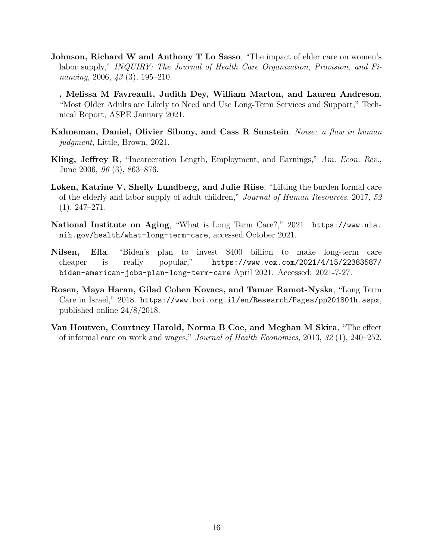- <span id="page-15-2"></span>Johnson, Richard W and Anthony T Lo Sasso, "The impact of elder care on women's labor supply," INQUIRY: The Journal of Health Care Organization, Provision, and Financing, 2006, 43 (3), 195-210.
- <span id="page-15-4"></span>, Melissa M Favreault, Judith Dey, William Marton, and Lauren Andreson, "Most Older Adults are Likely to Need and Use Long-Term Services and Support," Technical Report, ASPE January 2021.
- <span id="page-15-8"></span>Kahneman, Daniel, Olivier Sibony, and Cass R Sunstein, Noise: a flaw in human judgment, Little, Brown, 2021.
- <span id="page-15-1"></span>Kling, Jeffrey R, "Incarceration Length, Employment, and Earnings," Am. Econ. Rev., June 2006, 96 (3), 863–876.
- <span id="page-15-3"></span>Løken, Katrine V, Shelly Lundberg, and Julie Riise, "Lifting the burden formal care of the elderly and labor supply of adult children," Journal of Human Resources, 2017, 52 (1), 247–271.
- <span id="page-15-5"></span>National Institute on Aging, "What is Long Term Care?," 2021. [https://www.nia.](https://www.nia.nih.gov/health/what-long-term-care) [nih.gov/health/what-long-term-care](https://www.nia.nih.gov/health/what-long-term-care), accessed October 2021.
- <span id="page-15-6"></span>Nilsen, Ella, "Biden's plan to invest \$400 billion to make long-term care cheaper is really popular," [https://www.vox.com/2021/4/15/22383587/](https://www.vox.com/2021/4/15/22383587/biden-american-jobs-plan-long-term-care) [biden-american-jobs-plan-long-term-care](https://www.vox.com/2021/4/15/22383587/biden-american-jobs-plan-long-term-care) April 2021. Accessed: 2021-7-27.
- <span id="page-15-7"></span>Rosen, Maya Haran, Gilad Cohen Kovacs, and Tamar Ramot-Nyska, "Long Term Care in Israel," 2018. <https://www.boi.org.il/en/Research/Pages/pp201801h.aspx>, published online 24/8/2018.
- <span id="page-15-0"></span>Van Houtven, Courtney Harold, Norma B Coe, and Meghan M Skira, "The effect of informal care on work and wages," Journal of Health Economics, 2013, 32 (1), 240–252.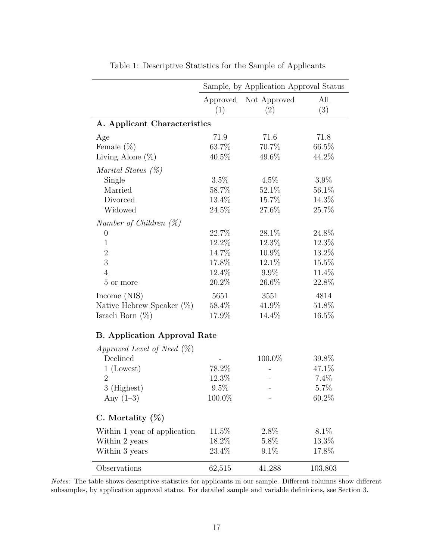<span id="page-16-0"></span>

|                                     | Sample, by Application Approval Status |                     |            |  |  |  |  |
|-------------------------------------|----------------------------------------|---------------------|------------|--|--|--|--|
|                                     | Approved<br>(1)                        | Not Approved<br>(2) | All<br>(3) |  |  |  |  |
|                                     |                                        |                     |            |  |  |  |  |
| A. Applicant Characteristics        |                                        |                     |            |  |  |  |  |
| Age                                 | 71.9                                   | 71.6                | 71.8       |  |  |  |  |
| Female $(\%)$                       | 63.7%                                  | 70.7%               | 66.5%      |  |  |  |  |
| Living Alone $(\%)$                 | 40.5%                                  | 49.6%               | 44.2%      |  |  |  |  |
| Marital Status $(\%)$               |                                        |                     |            |  |  |  |  |
| Single                              | 3.5%                                   | $4.5\%$             | $3.9\%$    |  |  |  |  |
| Married                             | 58.7%                                  | 52.1\%              | 56.1\%     |  |  |  |  |
| Divorced                            | 13.4%                                  | 15.7%               | 14.3%      |  |  |  |  |
| Widowed                             | 24.5%                                  | 27.6%               | 25.7%      |  |  |  |  |
| Number of Children $(\%)$           |                                        |                     |            |  |  |  |  |
| $\overline{0}$                      | 22.7\%                                 | 28.1%               | 24.8%      |  |  |  |  |
| $\mathbf{1}$                        | 12.2%                                  | 12.3%               | 12.3%      |  |  |  |  |
| $\overline{2}$                      | 14.7%                                  | 10.9%               | 13.2%      |  |  |  |  |
| 3                                   | 17.8%                                  | 12.1%               | 15.5%      |  |  |  |  |
| $\overline{4}$                      | 12.4%                                  | $9.9\%$             | 11.4%      |  |  |  |  |
| 5 or more                           | 20.2%                                  | 26.6%               | 22.8%      |  |  |  |  |
| Income (NIS)                        | 5651                                   | 3551                | 4814       |  |  |  |  |
| Native Hebrew Speaker $(\%)$        | 58.4%                                  | 41.9%               | 51.8%      |  |  |  |  |
| Israeli Born $(\%)$                 | 17.9%                                  | 14.4%               | 16.5%      |  |  |  |  |
| <b>B.</b> Application Approval Rate |                                        |                     |            |  |  |  |  |
| Approved Level of Need $(\%)$       |                                        |                     |            |  |  |  |  |
| Declined                            |                                        | 100.0%              | 39.8%      |  |  |  |  |
| $1$ (Lowest)                        | 78.2%                                  |                     | 47.1%      |  |  |  |  |
| $\overline{2}$                      | 12.3%                                  |                     | 7.4%       |  |  |  |  |
| 3 (Highest)                         | 9.5%                                   |                     | 5.7%       |  |  |  |  |
| Any $(1-3)$                         | 100.0%                                 |                     | 60.2%      |  |  |  |  |
| C. Mortality $(\%)$                 |                                        |                     |            |  |  |  |  |
| Within 1 year of application        | 11.5%                                  | 2.8%                | 8.1\%      |  |  |  |  |
| Within 2 years                      | 18.2%                                  | 5.8%                | $13.3\%$   |  |  |  |  |
| Within 3 years                      | 23.4%                                  | $9.1\%$             | 17.8%      |  |  |  |  |
| Observations                        | 62,515                                 | 41,288              | 103,803    |  |  |  |  |

Table 1: Descriptive Statistics for the Sample of Applicants

Notes: The table shows descriptive statistics for applicants in our sample. Different columns show different subsamples, by application approval status. For detailed sample and variable definitions, see Section [3.](#page-5-0)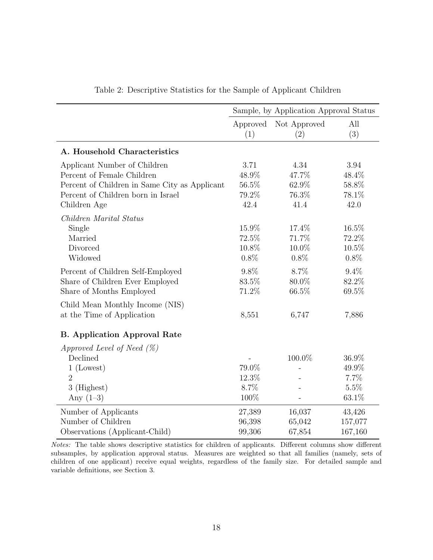<span id="page-17-0"></span>

|                                               | Sample, by Application Approval Status |                          |          |  |
|-----------------------------------------------|----------------------------------------|--------------------------|----------|--|
|                                               | Approved                               | Not Approved             | All      |  |
|                                               | (1)                                    | (2)                      | (3)      |  |
| A. Household Characteristics                  |                                        |                          |          |  |
| Applicant Number of Children                  | 3.71                                   | 4.34                     | 3.94     |  |
| Percent of Female Children                    | 48.9%                                  | 47.7%                    | 48.4%    |  |
| Percent of Children in Same City as Applicant | 56.5%                                  | 62.9%                    | $58.8\%$ |  |
| Percent of Children born in Israel            | 79.2%                                  | 76.3%                    | 78.1%    |  |
| Children Age                                  | 42.4                                   | 41.4                     | 42.0     |  |
| Children Marital Status                       |                                        |                          |          |  |
| Single                                        | 15.9%                                  | 17.4%                    | 16.5%    |  |
| Married                                       | 72.5%                                  | 71.7%                    | 72.2%    |  |
| Divorced                                      | 10.8%                                  | 10.0%                    | 10.5%    |  |
| Widowed                                       | 0.8%                                   | 0.8%                     | 0.8%     |  |
| Percent of Children Self-Employed             | 9.8%                                   | 8.7%                     | 9.4%     |  |
| Share of Children Ever Employed               | 83.5%                                  | 80.0%                    | 82.2%    |  |
| Share of Months Employed                      | 71.2%                                  | 66.5%                    | 69.5%    |  |
|                                               |                                        |                          |          |  |
| Child Mean Monthly Income (NIS)               |                                        |                          |          |  |
| at the Time of Application                    | 8,551                                  | 6,747                    | 7,886    |  |
| <b>B.</b> Application Approval Rate           |                                        |                          |          |  |
| Approved Level of Need $(\%)$                 |                                        |                          |          |  |
| Declined                                      |                                        | 100.0%                   | 36.9%    |  |
| $1$ (Lowest)                                  | 79.0%                                  | $\overline{a}$           | 49.9%    |  |
| $\overline{2}$                                | 12.3%                                  |                          | 7.7%     |  |
| 3 (Highest)                                   | 8.7%                                   |                          | 5.5%     |  |
| Any $(1-3)$                                   | 100%                                   | $\overline{\phantom{0}}$ | 63.1%    |  |
| Number of Applicants                          | 27,389                                 | 16,037                   | 43,426   |  |
| Number of Children                            | 96,398                                 | 65,042                   | 157,077  |  |
| Observations (Applicant-Child)                | 99,306                                 | 67,854                   | 167,160  |  |

Table 2: Descriptive Statistics for the Sample of Applicant Children

Notes: The table shows descriptive statistics for children of applicants. Different columns show different subsamples, by application approval status. Measures are weighted so that all families (namely, sets of children of one applicant) receive equal weights, regardless of the family size. For detailed sample and variable definitions, see Section [3.](#page-5-0)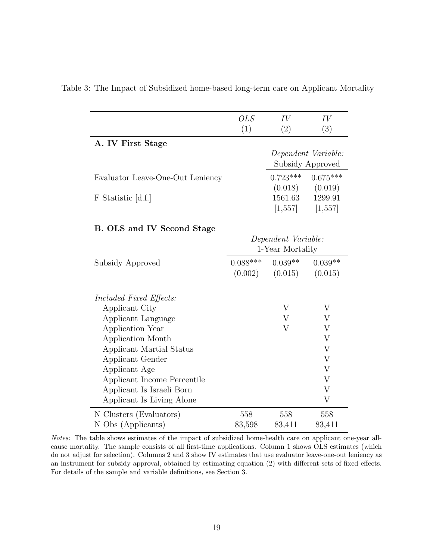|                                   | <b>OLS</b>          | IV               | IV                        |  |  |
|-----------------------------------|---------------------|------------------|---------------------------|--|--|
|                                   | (1)                 | (2)              | (3)                       |  |  |
| A. IV First Stage                 |                     |                  |                           |  |  |
|                                   |                     |                  | Dependent Variable:       |  |  |
|                                   |                     | Subsidy Approved |                           |  |  |
| Evaluator Leave-One-Out Leniency  |                     | $0.723***$       | $0.675***$                |  |  |
|                                   |                     | (0.018)          | (0.019)                   |  |  |
| F Statistic [d.f.]                |                     | 1561.63          | 1299.91                   |  |  |
|                                   |                     | [1,557]          | [1,557]                   |  |  |
|                                   |                     |                  |                           |  |  |
| <b>B. OLS and IV Second Stage</b> |                     |                  |                           |  |  |
|                                   | Dependent Variable: |                  |                           |  |  |
|                                   | 1-Year Mortality    |                  |                           |  |  |
| Subsidy Approved                  | $0.088***$          | $0.039**$        | $0.039**$                 |  |  |
|                                   | (0.002)             | (0.015)          | (0.015)                   |  |  |
|                                   |                     |                  |                           |  |  |
| Included Fixed Effects:           |                     |                  |                           |  |  |
| Applicant City                    |                     | V                | V                         |  |  |
| Applicant Language                |                     | V                | V                         |  |  |
| Application Year                  |                     | V                | V                         |  |  |
| Application Month                 |                     |                  | $\boldsymbol{\mathrm{V}}$ |  |  |
| Applicant Martial Status          |                     |                  | $\ensuremath{\mathbf{V}}$ |  |  |
| Applicant Gender                  |                     |                  | $\boldsymbol{\mathrm{V}}$ |  |  |
| Applicant Age                     |                     |                  | $\boldsymbol{\mathrm{V}}$ |  |  |
| Applicant Income Percentile       |                     |                  | $\rm V$                   |  |  |
| Applicant Is Israeli Born         |                     |                  | V                         |  |  |
| Applicant Is Living Alone         |                     |                  | V                         |  |  |
| N Clusters (Evaluators)           | 558                 | 558              | 558                       |  |  |
| N Obs (Applicants)                | 83,598              | 83,411           | 83,411                    |  |  |

<span id="page-18-0"></span>Table 3: The Impact of Subsidized home-based long-term care on Applicant Mortality

Notes: The table shows estimates of the impact of subsidized home-health care on applicant one-year allcause mortality. The sample consists of all first-time applications. Column 1 shows OLS estimates (which do not adjust for selection). Columns 2 and 3 show IV estimates that use evaluator leave-one-out leniency as an instrument for subsidy approval, obtained by estimating equation [\(2\)](#page-8-1) with different sets of fixed effects. For details of the sample and variable definitions, see Section [3.](#page-5-0)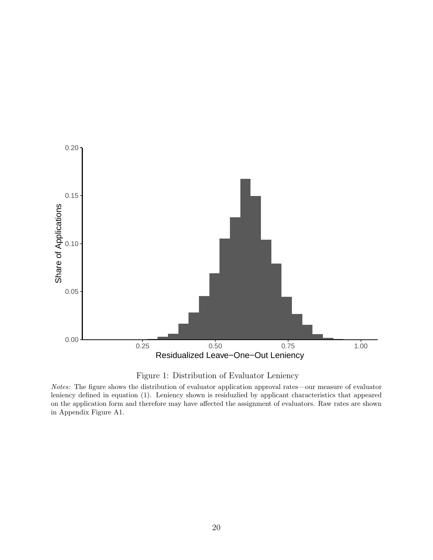<span id="page-19-0"></span>



Notes: The figure shows the distribution of evaluator application approval rates—our measure of evaluator leniency defined in equation [\(1\)](#page-8-2). Leniency shown is residuzlied by applicant characteristics that appeared on the application form and therefore may have affected the assignment of evaluators. Raw rates are shown in [Appendix Figure A1.](#page-26-0)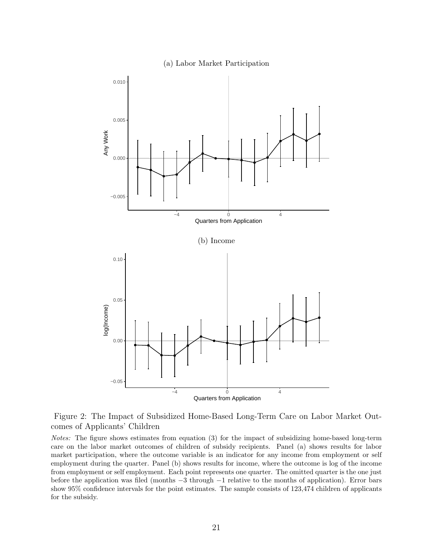

<span id="page-20-0"></span>

Figure 2: The Impact of Subsidized Home-Based Long-Term Care on Labor Market Outcomes of Applicants' Children

Notes: The figure shows estimates from equation [\(3\)](#page-9-0) for the impact of subsidizing home-based long-term care on the labor market outcomes of children of subsidy recipients. Panel (a) shows results for labor market participation, where the outcome variable is an indicator for any income from employment or self employment during the quarter. Panel (b) shows results for income, where the outcome is log of the income from employment or self employment. Each point represents one quarter. The omitted quarter is the one just before the application was filed (months −3 through −1 relative to the months of application). Error bars show 95% confidence intervals for the point estimates. The sample consists of 123,474 children of applicants for the subsidy.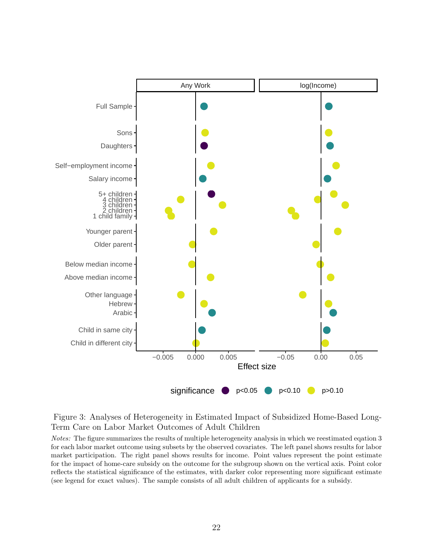<span id="page-21-0"></span>

Figure 3: Analyses of Heterogeneity in Estimated Impact of Subsidized Home-Based Long-Term Care on Labor Market Outcomes of Adult Children

Notes: The figure summarizes the results of multiple heterogeneity analysis in which we reestimated eqation [3](#page-9-0) for each labor market outcome using subsets by the observed covariates. The left panel shows results for labor market participation. The right panel shows results for income. Point values represent the point estimate for the impact of home-care subsidy on the outcome for the subgroup shown on the vertical axis. Point color reflects the statistical significance of the estimates, with darker color representing more significant estimate (see legend for exact values). The sample consists of all adult children of applicants for a subsidy.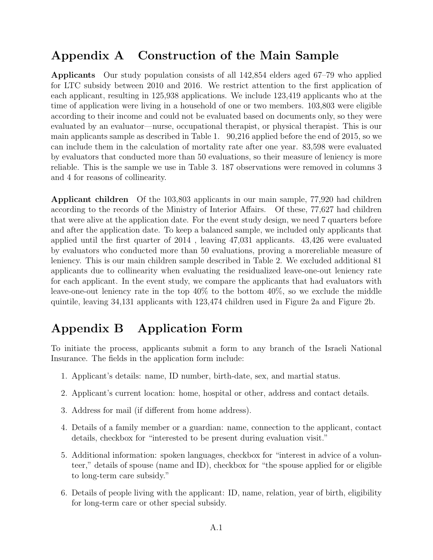# <span id="page-22-0"></span>Appendix A Construction of the Main Sample

Applicants Our study population consists of all 142,854 elders aged 67–79 who applied for LTC subsidy between 2010 and 2016. We restrict attention to the first application of each applicant, resulting in 125,938 applications. We include 123,419 applicants who at the time of application were living in a household of one or two members. 103,803 were eligible according to their income and could not be evaluated based on documents only, so they were evaluated by an evaluator—nurse, occupational therapist, or physical therapist. This is our main applicants sample as described in [Table 1.](#page-16-0) 90,216 applied before the end of 2015, so we can include them in the calculation of mortality rate after one year. 83,598 were evaluated by evaluators that conducted more than 50 evaluations, so their measure of leniency is more reliable. This is the sample we use in [Table 3.](#page-18-0) 187 observations were removed in columns 3 and 4 for reasons of collinearity.

Applicant children Of the 103,803 applicants in our main sample, 77,920 had children according to the records of the Ministry of Interior Affairs. Of these, 77,627 had children that were alive at the application date. For the event study design, we need 7 quarters before and after the application date. To keep a balanced sample, we included only applicants that applied until the first quarter of 2014 , leaving 47,031 applicants. 43,426 were evaluated by evaluators who conducted more than 50 evaluations, proving a morereliable measure of leniency. This is our main children sample described in [Table 2.](#page-17-0) We excluded additional 81 applicants due to collinearity when evaluating the residualized leave-one-out leniency rate for each applicant. In the event study, we compare the applicants that had evaluators with leave-one-out leniency rate in the top 40% to the bottom 40%, so we exclude the middle quintile, leaving 34,131 applicants with 123,474 children used in [Figure 2a](#page-20-0) and [Figure 2b.](#page-20-0)

# <span id="page-22-1"></span>Appendix B Application Form

To initiate the process, applicants submit a form to any branch of the Israeli National Insurance. The fields in the application form include:

- 1. Applicant's details: name, ID number, birth-date, sex, and martial status.
- 2. Applicant's current location: home, hospital or other, address and contact details.
- 3. Address for mail (if different from home address).
- 4. Details of a family member or a guardian: name, connection to the applicant, contact details, checkbox for "interested to be present during evaluation visit."
- 5. Additional information: spoken languages, checkbox for "interest in advice of a volunteer," details of spouse (name and ID), checkbox for "the spouse applied for or eligible to long-term care subsidy."
- 6. Details of people living with the applicant: ID, name, relation, year of birth, eligibility for long-term care or other special subsidy.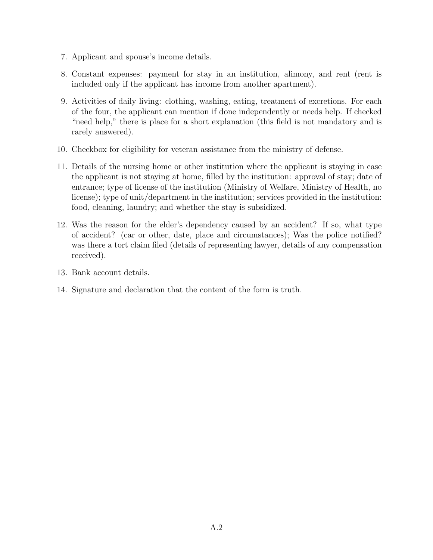- 7. Applicant and spouse's income details.
- 8. Constant expenses: payment for stay in an institution, alimony, and rent (rent is included only if the applicant has income from another apartment).
- 9. Activities of daily living: clothing, washing, eating, treatment of excretions. For each of the four, the applicant can mention if done independently or needs help. If checked "need help," there is place for a short explanation (this field is not mandatory and is rarely answered).
- 10. Checkbox for eligibility for veteran assistance from the ministry of defense.
- 11. Details of the nursing home or other institution where the applicant is staying in case the applicant is not staying at home, filled by the institution: approval of stay; date of entrance; type of license of the institution (Ministry of Welfare, Ministry of Health, no license); type of unit/department in the institution; services provided in the institution: food, cleaning, laundry; and whether the stay is subsidized.
- 12. Was the reason for the elder's dependency caused by an accident? If so, what type of accident? (car or other, date, place and circumstances); Was the police notified? was there a tort claim filed (details of representing lawyer, details of any compensation received).
- 13. Bank account details.
- 14. Signature and declaration that the content of the form is truth.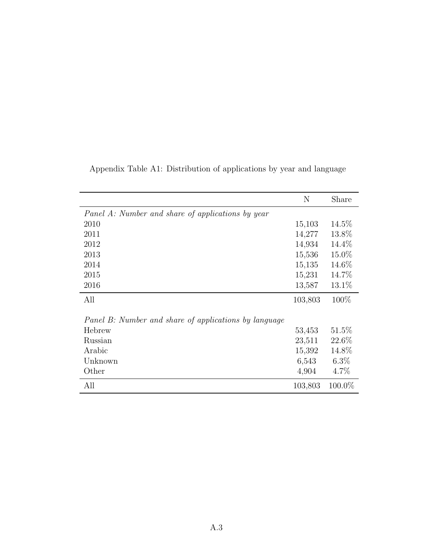|                                                       | N       | Share     |  |  |  |  |  |
|-------------------------------------------------------|---------|-----------|--|--|--|--|--|
| Panel A: Number and share of applications by year     |         |           |  |  |  |  |  |
| 2010                                                  | 15,103  | 14.5%     |  |  |  |  |  |
| 2011                                                  | 14,277  | 13.8%     |  |  |  |  |  |
| 2012                                                  | 14,934  | 14.4%     |  |  |  |  |  |
| 2013                                                  | 15,536  | 15.0%     |  |  |  |  |  |
| 2014                                                  | 15,135  | 14.6%     |  |  |  |  |  |
| 2015                                                  | 15,231  | 14.7\%    |  |  |  |  |  |
| 2016                                                  | 13,587  | 13.1\%    |  |  |  |  |  |
| All                                                   | 103,803 | 100\%     |  |  |  |  |  |
| Panel B: Number and share of applications by language |         |           |  |  |  |  |  |
| Hebrew                                                | 53,453  | $51.5\%$  |  |  |  |  |  |
| Russian                                               | 23,511  | 22.6%     |  |  |  |  |  |
| Arabic                                                | 15,392  | 14.8%     |  |  |  |  |  |
| Unknown                                               | 6,543   | $6.3\%$   |  |  |  |  |  |
| Other                                                 | 4,904   | $4.7\%$   |  |  |  |  |  |
| All                                                   | 103,803 | $100.0\%$ |  |  |  |  |  |

<span id="page-24-0"></span>Appendix Table A1: Distribution of applications by year and language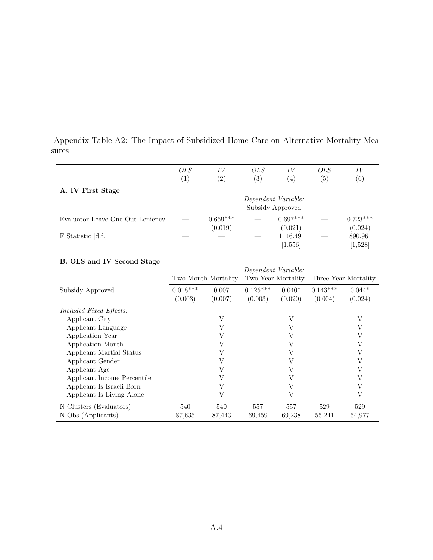|                                  | <i>OLS</i>                              | ΙV                | <i>OLS</i> | IV               | OLS               | IV                |  |
|----------------------------------|-----------------------------------------|-------------------|------------|------------------|-------------------|-------------------|--|
|                                  | $\left(1\right)$                        | $\left( 2\right)$ | (3)        | $\left(4\right)$ | $\left( 5\right)$ | $\left( 6\right)$ |  |
| A. IV First Stage                |                                         |                   |            |                  |                   |                   |  |
|                                  | Dependent Variable:<br>Subsidy Approved |                   |            |                  |                   |                   |  |
| Evaluator Leave-One-Out Leniency |                                         | $0.659***$        |            | $0.697***$       |                   | $0.723***$        |  |
|                                  |                                         | (0.019)           | __         | (0.021)          | ___               | (0.024)           |  |
| F Statistic [d.f.]               |                                         |                   |            | 1146.49          |                   | 890.96            |  |
|                                  |                                         |                   |            | [1, 556]         | ___               | [1,528]           |  |

<span id="page-25-0"></span>Appendix Table A2: The Impact of Subsidized Home Care on Alternative Mortality Mea-

|                                | Dependent Variable:   |                  |                       |                     |                       |                     |
|--------------------------------|-----------------------|------------------|-----------------------|---------------------|-----------------------|---------------------|
|                                | Two-Month Mortality   |                  | Two-Year Mortality    |                     | Three-Year Mortality  |                     |
| Subsidy Approved               | $0.018***$<br>(0.003) | 0.007<br>(0.007) | $0.125***$<br>(0.003) | $0.040*$<br>(0.020) | $0.143***$<br>(0.004) | $0.044*$<br>(0.024) |
| <i>Included Fixed Effects:</i> |                       |                  |                       |                     |                       |                     |
| Applicant City                 |                       | V                |                       | V                   |                       | V                   |
| Applicant Language             |                       | V                |                       | V                   |                       | V                   |
| Application Year               |                       | V                |                       | V                   |                       | V                   |
| Application Month              |                       | V                |                       | V                   |                       | V                   |
| Applicant Martial Status       |                       | V                |                       | V                   |                       | V                   |
| Applicant Gender               |                       | V                |                       | V                   |                       | V                   |
| Applicant Age                  |                       | V                |                       | V                   |                       | V                   |
| Applicant Income Percentile    |                       | V                |                       | V                   |                       |                     |
| Applicant Is Israeli Born      |                       | V                |                       | V                   |                       | V                   |
| Applicant Is Living Alone      |                       | V                |                       | V                   |                       | V                   |
| N Clusters (Evaluators)        | 540                   | 540              | 557                   | 557                 | 529                   | 529                 |
| N Obs (Applicants)             | 87.635                | 87,443           | 69,459                | 69,238              | 55,241                | 54,977              |

### B. OLS and IV Second Stage

sures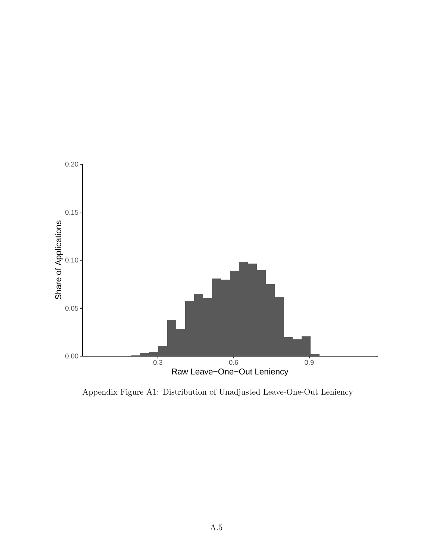<span id="page-26-0"></span>

Appendix Figure A1: Distribution of Unadjusted Leave-One-Out Leniency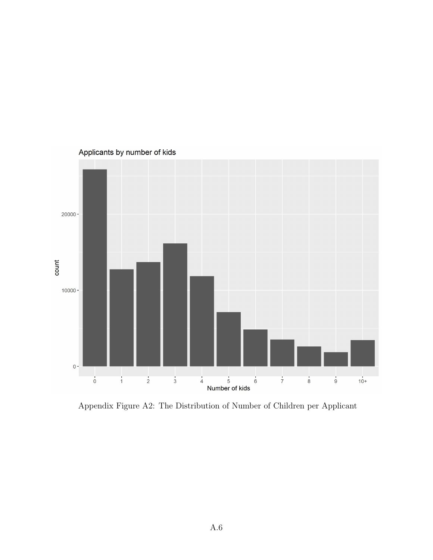<span id="page-27-0"></span>

Appendix Figure A2: The Distribution of Number of Children per Applicant